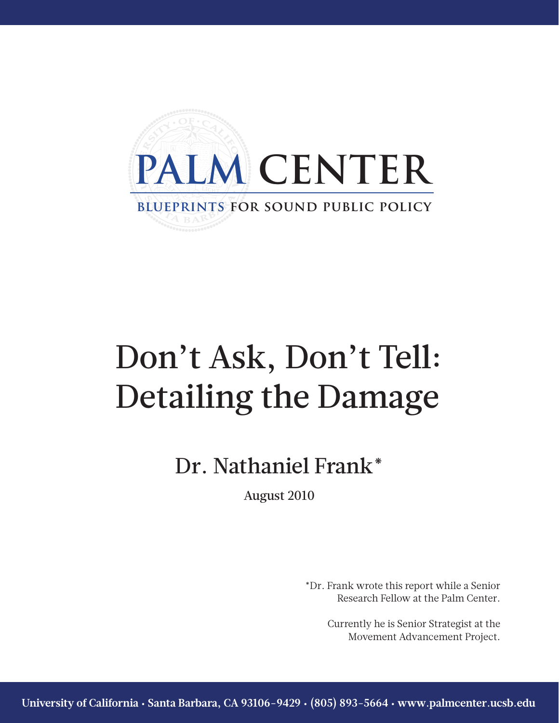

# Don't Ask, Don't Tell: Detailing the Damage

# Dr. Nathaniel Frank\*

August 2010

\*Dr. Frank wrote this report while a Senior Research Fellow at the Palm Center.

> Currently he is Senior Strategist at the Movement Advancement Project.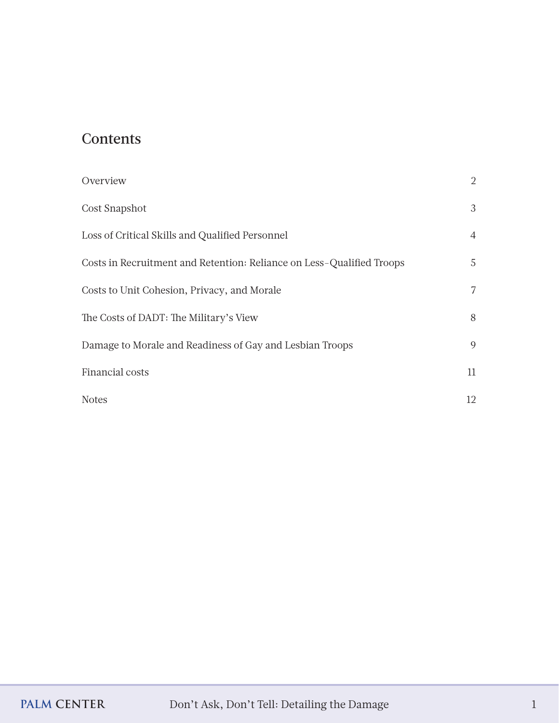# **Contents**

| Overview                                                              | $\overline{2}$ |
|-----------------------------------------------------------------------|----------------|
| Cost Snapshot                                                         | 3              |
| Loss of Critical Skills and Qualified Personnel                       | $\overline{4}$ |
| Costs in Recruitment and Retention: Reliance on Less-Qualified Troops | 5              |
| Costs to Unit Cohesion, Privacy, and Morale                           | 7              |
| The Costs of DADT: The Military's View                                | 8              |
| Damage to Morale and Readiness of Gay and Lesbian Troops              | 9              |
| Financial costs                                                       | 11             |
| <b>Notes</b>                                                          | 12             |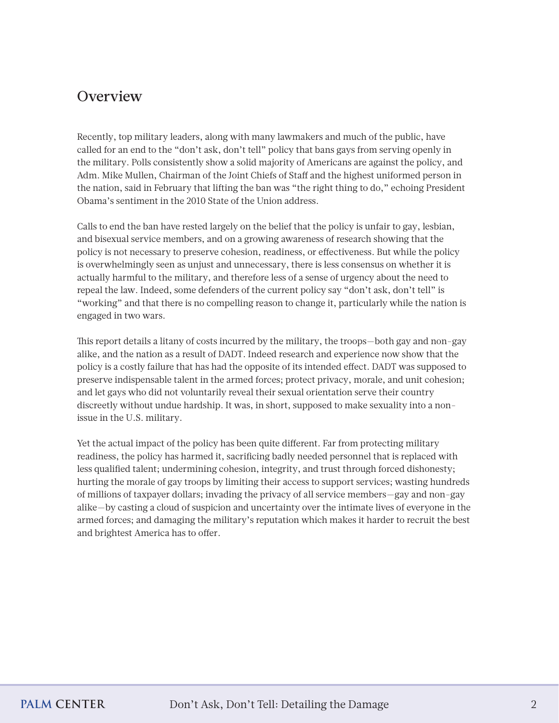#### **Overview**

Recently, top military leaders, along with many lawmakers and much of the public, have called for an end to the "don't ask, don't tell" policy that bans gays from serving openly in the military. Polls consistently show a solid majority of Americans are against the policy, and Adm. Mike Mullen, Chairman of the Joint Chiefs of Staff and the highest uniformed person in the nation, said in February that lifting the ban was "the right thing to do," echoing President Obama's sentiment in the 2010 State of the Union address.

Calls to end the ban have rested largely on the belief that the policy is unfair to gay, lesbian, and bisexual service members, and on a growing awareness of research showing that the policy is not necessary to preserve cohesion, readiness, or effectiveness. But while the policy is overwhelmingly seen as unjust and unnecessary, there is less consensus on whether it is actually harmful to the military, and therefore less of a sense of urgency about the need to repeal the law. Indeed, some defenders of the current policy say "don't ask, don't tell" is "working" and that there is no compelling reason to change it, particularly while the nation is engaged in two wars.

This report details a litany of costs incurred by the military, the troops—both gay and non-gay alike, and the nation as a result of DADT. Indeed research and experience now show that the policy is a costly failure that has had the opposite of its intended effect. DADT was supposed to preserve indispensable talent in the armed forces; protect privacy, morale, and unit cohesion; and let gays who did not voluntarily reveal their sexual orientation serve their country discreetly without undue hardship. It was, in short, supposed to make sexuality into a nonissue in the U.S. military.

Yet the actual impact of the policy has been quite different. Far from protecting military readiness, the policy has harmed it, sacrificing badly needed personnel that is replaced with less qualified talent; undermining cohesion, integrity, and trust through forced dishonesty; hurting the morale of gay troops by limiting their access to support services; wasting hundreds of millions of taxpayer dollars; invading the privacy of all service members—gay and non-gay alike—by casting a cloud of suspicion and uncertainty over the intimate lives of everyone in the armed forces; and damaging the military's reputation which makes it harder to recruit the best and brightest America has to offer.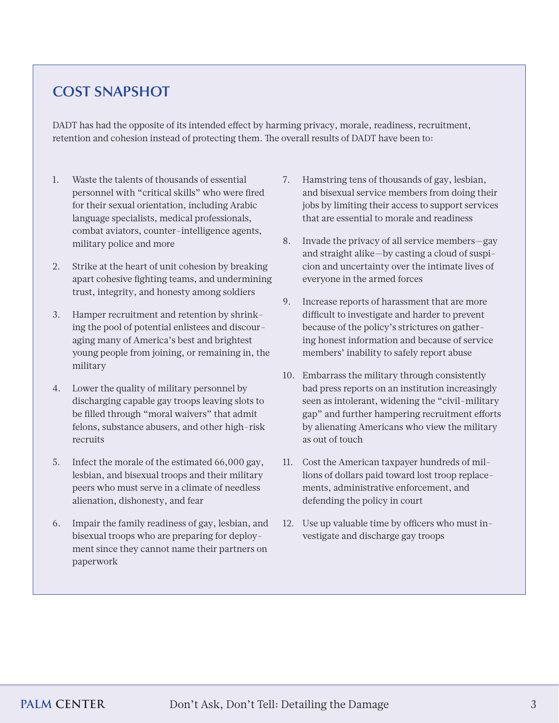#### **Cost Snapshot**

DADT has had the opposite of its intended effect by harming privacy, morale, readiness, recruitment, retention and cohesion instead of protecting them. The overall results of DADT have been to:

- 1. Waste the talents of thousands of essential personnel with "critical skills" who were fired for their sexual orientation, including Arabic language specialists, medical professionals, combat aviators, counter-intelligence agents, military police and more
- 2. Strike at the heart of unit cohesion by breaking apart cohesive fighting teams, and undermining trust, integrity, and honesty among soldiers
- 3. Hamper recruitment and retention by shrinking the pool of potential enlistees and discouraging many of America's best and brightest young people from joining, or remaining in, the military
- 4. Lower the quality of military personnel by discharging capable gay troops leaving slots to be filled through "moral waivers" that admit felons, substance abusers, and other high-risk recruits
- 5. Infect the morale of the estimated 66,000 gay, lesbian, and bisexual troops and their military peers who must serve in a climate of needless alienation, dishonesty, and fear
- 6. Impair the family readiness of gay, lesbian, and bisexual troops who are preparing for deployment since they cannot name their partners on paperwork
- 7. Hamstring tens of thousands of gay, lesbian, and bisexual service members from doing their jobs by limiting their access to support services that are essential to morale and readiness
- 8. Invade the privacy of all service members—gay and straight alike—by casting a cloud of suspicion and uncertainty over the intimate lives of everyone in the armed forces
- 9. Increase reports of harassment that are more difficult to investigate and harder to prevent because of the policy's strictures on gathering honest information and because of service members' inability to safely report abuse
- 10. Embarrass the military through consistently bad press reports on an institution increasingly seen as intolerant, widening the "civil-military gap" and further hampering recruitment efforts by alienating Americans who view the military as out of touch
- 11. Cost the American taxpayer hundreds of millions of dollars paid toward lost troop replacements, administrative enforcement, and defending the policy in court
- 12. Use up valuable time by officers who must investigate and discharge gay troops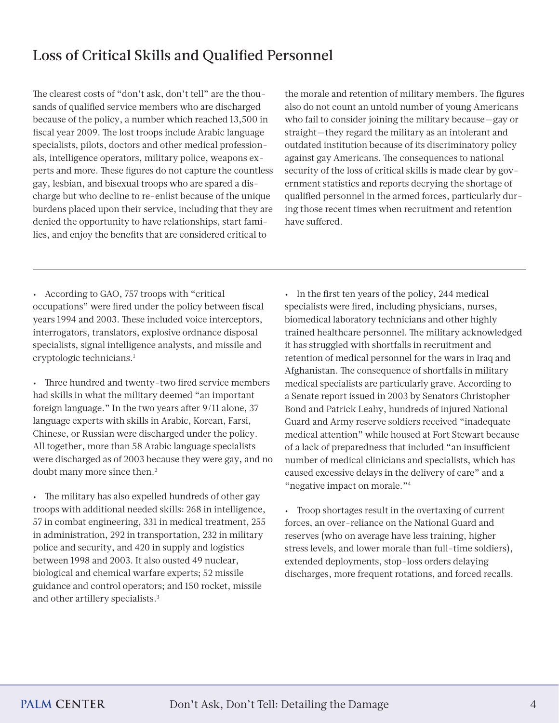## Loss of Critical Skills and Qualified Personnel

The clearest costs of "don't ask, don't tell" are the thousands of qualified service members who are discharged because of the policy, a number which reached 13,500 in fiscal year 2009. The lost troops include Arabic language specialists, pilots, doctors and other medical professionals, intelligence operators, military police, weapons experts and more. These figures do not capture the countless gay, lesbian, and bisexual troops who are spared a discharge but who decline to re-enlist because of the unique burdens placed upon their service, including that they are denied the opportunity to have relationships, start families, and enjoy the benefits that are considered critical to

the morale and retention of military members. The figures also do not count an untold number of young Americans who fail to consider joining the military because—gay or straight—they regard the military as an intolerant and outdated institution because of its discriminatory policy against gay Americans. The consequences to national security of the loss of critical skills is made clear by government statistics and reports decrying the shortage of qualified personnel in the armed forces, particularly during those recent times when recruitment and retention have suffered.

• According to GAO, 757 troops with "critical occupations" were fired under the policy between fiscal years 1994 and 2003. These included voice interceptors, interrogators, translators, explosive ordnance disposal specialists, signal intelligence analysts, and missile and cryptologic technicians.1

• Three hundred and twenty-two fired service members had skills in what the military deemed "an important foreign language." In the two years after 9/11 alone, 37 language experts with skills in Arabic, Korean, Farsi, Chinese, or Russian were discharged under the policy. All together, more than 58 Arabic language specialists were discharged as of 2003 because they were gay, and no doubt many more since then.<sup>2</sup>

• The military has also expelled hundreds of other gay troops with additional needed skills: 268 in intelligence, 57 in combat engineering, 331 in medical treatment, 255 in administration, 292 in transportation, 232 in military police and security, and 420 in supply and logistics between 1998 and 2003. It also ousted 49 nuclear, biological and chemical warfare experts; 52 missile guidance and control operators; and 150 rocket, missile and other artillery specialists.3

• In the first ten years of the policy, 244 medical specialists were fired, including physicians, nurses, biomedical laboratory technicians and other highly trained healthcare personnel. The military acknowledged it has struggled with shortfalls in recruitment and retention of medical personnel for the wars in Iraq and Afghanistan. The consequence of shortfalls in military medical specialists are particularly grave. According to a Senate report issued in 2003 by Senators Christopher Bond and Patrick Leahy, hundreds of injured National Guard and Army reserve soldiers received "inadequate medical attention" while housed at Fort Stewart because of a lack of preparedness that included "an insufficient number of medical clinicians and specialists, which has caused excessive delays in the delivery of care" and a "negative impact on morale."4

• Troop shortages result in the overtaxing of current forces, an over-reliance on the National Guard and reserves (who on average have less training, higher stress levels, and lower morale than full-time soldiers), extended deployments, stop-loss orders delaying discharges, more frequent rotations, and forced recalls.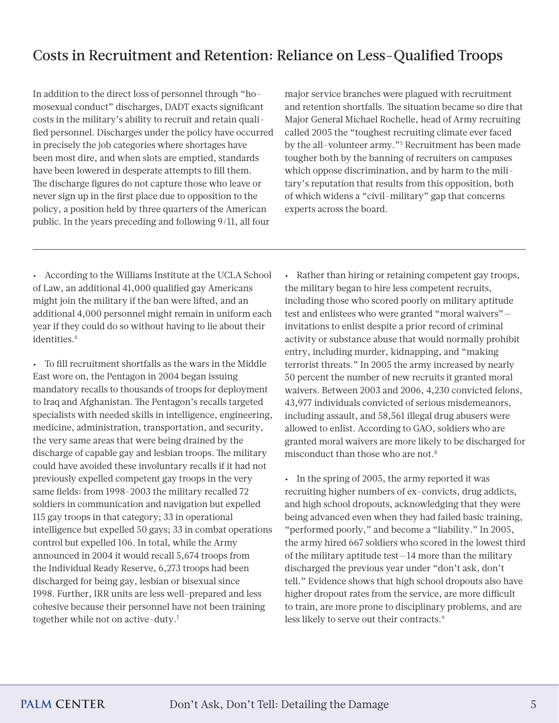## Costs in Recruitment and Retention: Reliance on Less-Qualified Troops

In addition to the direct loss of personnel through "homosexual conduct" discharges, DADT exacts significant costs in the military's ability to recruit and retain qualified personnel. Discharges under the policy have occurred in precisely the job categories where shortages have been most dire, and when slots are emptied, standards have been lowered in desperate attempts to fill them. The discharge figures do not capture those who leave or never sign up in the first place due to opposition to the policy, a position held by three quarters of the American public. In the years preceding and following 9/11, all four

major service branches were plagued with recruitment and retention shortfalls. The situation became so dire that Major General Michael Rochelle, head of Army recruiting called 2005 the "toughest recruiting climate ever faced by the all-volunteer army."5 Recruitment has been made tougher both by the banning of recruiters on campuses which oppose discrimination, and by harm to the military's reputation that results from this opposition, both of which widens a "civil-military" gap that concerns experts across the board.

• According to the Williams Institute at the UCLA School of Law, an additional 41,000 qualified gay Americans might join the military if the ban were lifted, and an additional 4,000 personnel might remain in uniform each year if they could do so without having to lie about their identities.<sup>6</sup>

• To fill recruitment shortfalls as the wars in the Middle East wore on, the Pentagon in 2004 began issuing mandatory recalls to thousands of troops for deployment to Iraq and Afghanistan. The Pentagon's recalls targeted specialists with needed skills in intelligence, engineering, medicine, administration, transportation, and security, the very same areas that were being drained by the discharge of capable gay and lesbian troops. The military could have avoided these involuntary recalls if it had not previously expelled competent gay troops in the very same fields: from 1998-2003 the military recalled 72 soldiers in communication and navigation but expelled 115 gay troops in that category; 33 in operational intelligence but expelled 50 gays; 33 in combat operations control but expelled 106. In total, while the Army announced in 2004 it would recall 5,674 troops from the Individual Ready Reserve, 6,273 troops had been discharged for being gay, lesbian or bisexual since 1998. Further, IRR units are less well-prepared and less cohesive because their personnel have not been training together while not on active-duty.<sup>7</sup>

• Rather than hiring or retaining competent gay troops, the military began to hire less competent recruits, including those who scored poorly on military aptitude test and enlistees who were granted "moral waivers" invitations to enlist despite a prior record of criminal activity or substance abuse that would normally prohibit entry, including murder, kidnapping, and "making terrorist threats." In 2005 the army increased by nearly 50 percent the number of new recruits it granted moral waivers. Between 2003 and 2006, 4,230 convicted felons, 43,977 individuals convicted of serious misdemeanors, including assault, and 58,561 illegal drug abusers were allowed to enlist. According to GAO, soldiers who are granted moral waivers are more likely to be discharged for misconduct than those who are not.8

• In the spring of 2005, the army reported it was recruiting higher numbers of ex-convicts, drug addicts, and high school dropouts, acknowledging that they were being advanced even when they had failed basic training, "performed poorly," and become a "liability." In 2005, the army hired 667 soldiers who scored in the lowest third of the military aptitude test—14 more than the military discharged the previous year under "don't ask, don't tell." Evidence shows that high school dropouts also have higher dropout rates from the service, are more difficult to train, are more prone to disciplinary problems, and are less likely to serve out their contracts.<sup>9</sup>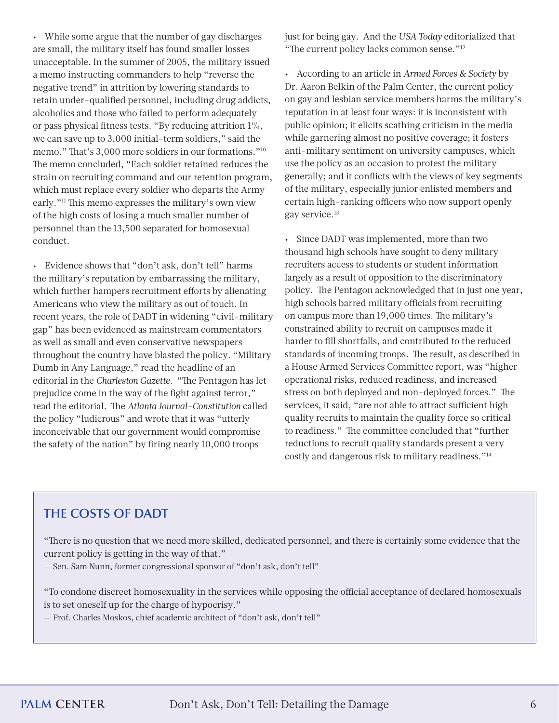• While some argue that the number of gay discharges are small, the military itself has found smaller losses unacceptable. In the summer of 2005, the military issued a memo instructing commanders to help "reverse the negative trend" in attrition by lowering standards to retain under-qualified personnel, including drug addicts, alcoholics and those who failed to perform adequately or pass physical fitness tests. "By reducing attrition 1%, we can save up to 3,000 initial-term soldiers," said the memo." That's 3,000 more soldiers in our formations."10 The memo concluded, "Each soldier retained reduces the strain on recruiting command and our retention program, which must replace every soldier who departs the Army early."11 This memo expresses the military's own view of the high costs of losing a much smaller number of personnel than the 13,500 separated for homosexual conduct.

• Evidence shows that "don't ask, don't tell" harms the military's reputation by embarrassing the military, which further hampers recruitment efforts by alienating Americans who view the military as out of touch. In recent years, the role of DADT in widening "civil-military gap" has been evidenced as mainstream commentators as well as small and even conservative newspapers throughout the country have blasted the policy. "Military Dumb in Any Language," read the headline of an editorial in the *Charleston Gazette*. "The Pentagon has let prejudice come in the way of the fight against terror," read the editorial. The *Atlanta Journal-Constitution* called the policy "ludicrous" and wrote that it was "utterly inconceivable that our government would compromise the safety of the nation" by firing nearly 10,000 troops

just for being gay. And the *USA Today* editorialized that "The current policy lacks common sense."12

• According to an article in *Armed Forces & Society* by Dr. Aaron Belkin of the Palm Center, the current policy on gay and lesbian service members harms the military's reputation in at least four ways: it is inconsistent with public opinion; it elicits scathing criticism in the media while garnering almost no positive coverage; it fosters anti-military sentiment on university campuses, which use the policy as an occasion to protest the military generally; and it conflicts with the views of key segments of the military, especially junior enlisted members and certain high-ranking officers who now support openly gay service.13

• Since DADT was implemented, more than two thousand high schools have sought to deny military recruiters access to students or student information largely as a result of opposition to the discriminatory policy. The Pentagon acknowledged that in just one year, high schools barred military officials from recruiting on campus more than 19,000 times. The military's constrained ability to recruit on campuses made it harder to fill shortfalls, and contributed to the reduced standards of incoming troops. The result, as described in a House Armed Services Committee report, was "higher operational risks, reduced readiness, and increased stress on both deployed and non-deployed forces." The services, it said, "are not able to attract sufficient high quality recruits to maintain the quality force so critical to readiness." The committee concluded that "further reductions to recruit quality standards present a very costly and dangerous risk to military readiness."14

#### **The Costs of DADT**

"There is no question that we need more skilled, dedicated personnel, and there is certainly some evidence that the current policy is getting in the way of that."

— Sen. Sam Nunn, former congressional sponsor of "don't ask, don't tell"

"To condone discreet homosexuality in the services while opposing the official acceptance of declared homosexuals is to set oneself up for the charge of hypocrisy."

— Prof. Charles Moskos, chief academic architect of "don't ask, don't tell"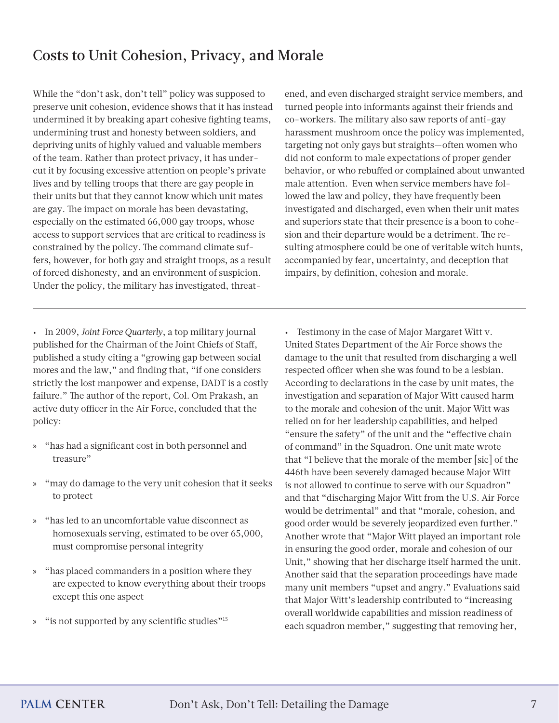# Costs to Unit Cohesion, Privacy, and Morale

While the "don't ask, don't tell" policy was supposed to preserve unit cohesion, evidence shows that it has instead undermined it by breaking apart cohesive fighting teams, undermining trust and honesty between soldiers, and depriving units of highly valued and valuable members of the team. Rather than protect privacy, it has undercut it by focusing excessive attention on people's private lives and by telling troops that there are gay people in their units but that they cannot know which unit mates are gay. The impact on morale has been devastating, especially on the estimated 66,000 gay troops, whose access to support services that are critical to readiness is constrained by the policy. The command climate suffers, however, for both gay and straight troops, as a result of forced dishonesty, and an environment of suspicion. Under the policy, the military has investigated, threat-

• In 2009, *Joint Force Quarterly*, a top military journal published for the Chairman of the Joint Chiefs of Staff, published a study citing a "growing gap between social mores and the law," and finding that, "if one considers strictly the lost manpower and expense, DADT is a costly failure." The author of the report, Col. Om Prakash, an active duty officer in the Air Force, concluded that the policy:

- » "has had a significant cost in both personnel and treasure"
- » "may do damage to the very unit cohesion that it seeks to protect
- » "has led to an uncomfortable value disconnect as homosexuals serving, estimated to be over 65,000, must compromise personal integrity
- » "has placed commanders in a position where they are expected to know everything about their troops except this one aspect
- » "is not supported by any scientific studies"15

ened, and even discharged straight service members, and turned people into informants against their friends and co-workers. The military also saw reports of anti-gay harassment mushroom once the policy was implemented, targeting not only gays but straights—often women who did not conform to male expectations of proper gender behavior, or who rebuffed or complained about unwanted male attention. Even when service members have followed the law and policy, they have frequently been investigated and discharged, even when their unit mates and superiors state that their presence is a boon to cohesion and their departure would be a detriment. The resulting atmosphere could be one of veritable witch hunts, accompanied by fear, uncertainty, and deception that impairs, by definition, cohesion and morale.

• Testimony in the case of Major Margaret Witt v. United States Department of the Air Force shows the damage to the unit that resulted from discharging a well respected officer when she was found to be a lesbian. According to declarations in the case by unit mates, the investigation and separation of Major Witt caused harm to the morale and cohesion of the unit. Major Witt was relied on for her leadership capabilities, and helped "ensure the safety" of the unit and the "effective chain of command" in the Squadron. One unit mate wrote that "I believe that the morale of the member [sic] of the 446th have been severely damaged because Major Witt is not allowed to continue to serve with our Squadron" and that "discharging Major Witt from the U.S. Air Force would be detrimental" and that "morale, cohesion, and good order would be severely jeopardized even further." Another wrote that "Major Witt played an important role in ensuring the good order, morale and cohesion of our Unit," showing that her discharge itself harmed the unit. Another said that the separation proceedings have made many unit members "upset and angry." Evaluations said that Major Witt's leadership contributed to "increasing overall worldwide capabilities and mission readiness of each squadron member," suggesting that removing her,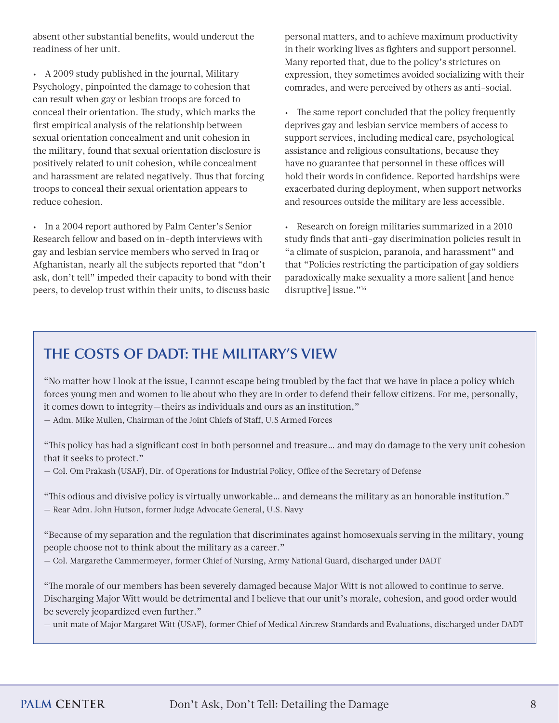absent other substantial benefits, would undercut the readiness of her unit.

• A 2009 study published in the journal, Military Psychology, pinpointed the damage to cohesion that can result when gay or lesbian troops are forced to conceal their orientation. The study, which marks the first empirical analysis of the relationship between sexual orientation concealment and unit cohesion in the military, found that sexual orientation disclosure is positively related to unit cohesion, while concealment and harassment are related negatively. Thus that forcing troops to conceal their sexual orientation appears to reduce cohesion.

• In a 2004 report authored by Palm Center's Senior Research fellow and based on in-depth interviews with gay and lesbian service members who served in Iraq or Afghanistan, nearly all the subjects reported that "don't ask, don't tell" impeded their capacity to bond with their peers, to develop trust within their units, to discuss basic

personal matters, and to achieve maximum productivity in their working lives as fighters and support personnel. Many reported that, due to the policy's strictures on expression, they sometimes avoided socializing with their comrades, and were perceived by others as anti-social.

• The same report concluded that the policy frequently deprives gay and lesbian service members of access to support services, including medical care, psychological assistance and religious consultations, because they have no guarantee that personnel in these offices will hold their words in confidence. Reported hardships were exacerbated during deployment, when support networks and resources outside the military are less accessible.

• Research on foreign militaries summarized in a 2010 study finds that anti-gay discrimination policies result in "a climate of suspicion, paranoia, and harassment" and that "Policies restricting the participation of gay soldiers paradoxically make sexuality a more salient [and hence disruptive] issue."<sup>16</sup>

#### **The Costs of DADT: The Military's View**

"No matter how I look at the issue, I cannot escape being troubled by the fact that we have in place a policy which forces young men and women to lie about who they are in order to defend their fellow citizens. For me, personally, it comes down to integrity—theirs as individuals and ours as an institution,"

— Adm. Mike Mullen, Chairman of the Joint Chiefs of Staff, U.S Armed Forces

"This policy has had a significant cost in both personnel and treasure… and may do damage to the very unit cohesion that it seeks to protect."

— Col. Om Prakash (USAF), Dir. of Operations for Industrial Policy, Office of the Secretary of Defense

"This odious and divisive policy is virtually unworkable… and demeans the military as an honorable institution." — Rear Adm. John Hutson, former Judge Advocate General, U.S. Navy

"Because of my separation and the regulation that discriminates against homosexuals serving in the military, young people choose not to think about the military as a career."

— Col. Margarethe Cammermeyer, former Chief of Nursing, Army National Guard, discharged under DADT

"The morale of our members has been severely damaged because Major Witt is not allowed to continue to serve. Discharging Major Witt would be detrimental and I believe that our unit's morale, cohesion, and good order would be severely jeopardized even further."

— unit mate of Major Margaret Witt (USAF), former Chief of Medical Aircrew Standards and Evaluations, discharged under DADT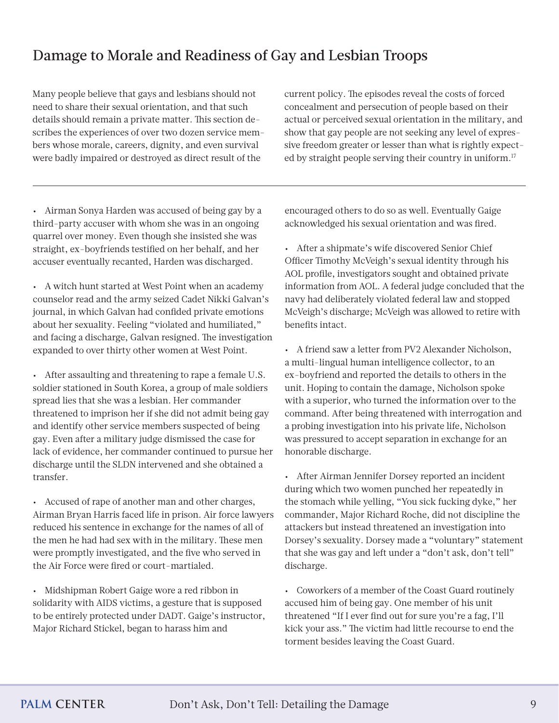# Damage to Morale and Readiness of Gay and Lesbian Troops

Many people believe that gays and lesbians should not need to share their sexual orientation, and that such details should remain a private matter. This section describes the experiences of over two dozen service members whose morale, careers, dignity, and even survival were badly impaired or destroyed as direct result of the

• Airman Sonya Harden was accused of being gay by a third-party accuser with whom she was in an ongoing quarrel over money. Even though she insisted she was straight, ex-boyfriends testified on her behalf, and her accuser eventually recanted, Harden was discharged.

• A witch hunt started at West Point when an academy counselor read and the army seized Cadet Nikki Galvan's journal, in which Galvan had confided private emotions about her sexuality. Feeling "violated and humiliated," and facing a discharge, Galvan resigned. The investigation expanded to over thirty other women at West Point.

• After assaulting and threatening to rape a female U.S. soldier stationed in South Korea, a group of male soldiers spread lies that she was a lesbian. Her commander threatened to imprison her if she did not admit being gay and identify other service members suspected of being gay. Even after a military judge dismissed the case for lack of evidence, her commander continued to pursue her discharge until the SLDN intervened and she obtained a transfer.

• Accused of rape of another man and other charges, Airman Bryan Harris faced life in prison. Air force lawyers reduced his sentence in exchange for the names of all of the men he had had sex with in the military. These men were promptly investigated, and the five who served in the Air Force were fired or court-martialed.

• Midshipman Robert Gaige wore a red ribbon in solidarity with AIDS victims, a gesture that is supposed to be entirely protected under DADT. Gaige's instructor, Major Richard Stickel, began to harass him and

current policy. The episodes reveal the costs of forced concealment and persecution of people based on their actual or perceived sexual orientation in the military, and show that gay people are not seeking any level of expressive freedom greater or lesser than what is rightly expected by straight people serving their country in uniform.<sup>17</sup>

encouraged others to do so as well. Eventually Gaige acknowledged his sexual orientation and was fired.

• After a shipmate's wife discovered Senior Chief Officer Timothy McVeigh's sexual identity through his AOL profile, investigators sought and obtained private information from AOL. A federal judge concluded that the navy had deliberately violated federal law and stopped McVeigh's discharge; McVeigh was allowed to retire with benefits intact.

• A friend saw a letter from PV2 Alexander Nicholson, a multi-lingual human intelligence collector, to an ex-boyfriend and reported the details to others in the unit. Hoping to contain the damage, Nicholson spoke with a superior, who turned the information over to the command. After being threatened with interrogation and a probing investigation into his private life, Nicholson was pressured to accept separation in exchange for an honorable discharge.

• After Airman Jennifer Dorsey reported an incident during which two women punched her repeatedly in the stomach while yelling, "You sick fucking dyke," her commander, Major Richard Roche, did not discipline the attackers but instead threatened an investigation into Dorsey's sexuality. Dorsey made a "voluntary" statement that she was gay and left under a "don't ask, don't tell" discharge.

• Coworkers of a member of the Coast Guard routinely accused him of being gay. One member of his unit threatened "If I ever find out for sure you're a fag, I'll kick your ass." The victim had little recourse to end the torment besides leaving the Coast Guard.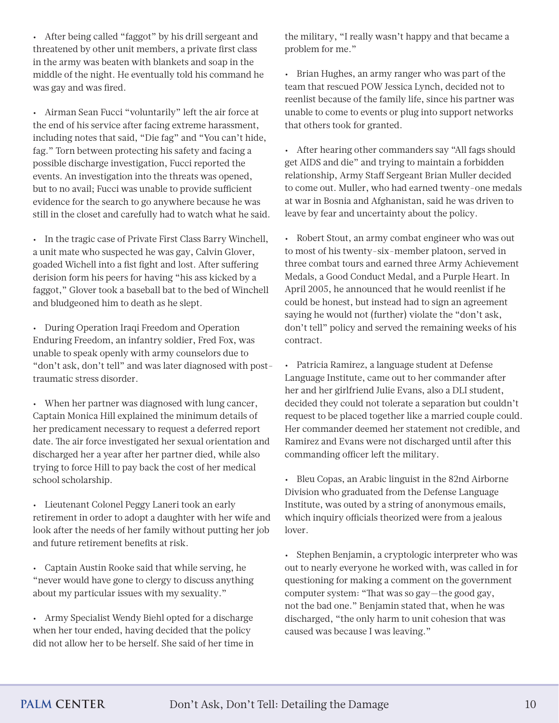• After being called "faggot" by his drill sergeant and threatened by other unit members, a private first class in the army was beaten with blankets and soap in the middle of the night. He eventually told his command he was gay and was fired.

• Airman Sean Fucci "voluntarily" left the air force at the end of his service after facing extreme harassment, including notes that said, "Die fag" and "You can't hide, fag." Torn between protecting his safety and facing a possible discharge investigation, Fucci reported the events. An investigation into the threats was opened, but to no avail; Fucci was unable to provide sufficient evidence for the search to go anywhere because he was still in the closet and carefully had to watch what he said.

• In the tragic case of Private First Class Barry Winchell, a unit mate who suspected he was gay, Calvin Glover, goaded Wichell into a fist fight and lost. After suffering derision form his peers for having "his ass kicked by a faggot," Glover took a baseball bat to the bed of Winchell and bludgeoned him to death as he slept.

• During Operation Iraqi Freedom and Operation Enduring Freedom, an infantry soldier, Fred Fox, was unable to speak openly with army counselors due to "don't ask, don't tell" and was later diagnosed with posttraumatic stress disorder.

• When her partner was diagnosed with lung cancer, Captain Monica Hill explained the minimum details of her predicament necessary to request a deferred report date. The air force investigated her sexual orientation and discharged her a year after her partner died, while also trying to force Hill to pay back the cost of her medical school scholarship.

• Lieutenant Colonel Peggy Laneri took an early retirement in order to adopt a daughter with her wife and look after the needs of her family without putting her job and future retirement benefits at risk.

• Captain Austin Rooke said that while serving, he "never would have gone to clergy to discuss anything about my particular issues with my sexuality."

• Army Specialist Wendy Biehl opted for a discharge when her tour ended, having decided that the policy did not allow her to be herself. She said of her time in the military, "I really wasn't happy and that became a problem for me."

• Brian Hughes, an army ranger who was part of the team that rescued POW Jessica Lynch, decided not to reenlist because of the family life, since his partner was unable to come to events or plug into support networks that others took for granted.

• After hearing other commanders say "All fags should get AIDS and die" and trying to maintain a forbidden relationship, Army Staff Sergeant Brian Muller decided to come out. Muller, who had earned twenty-one medals at war in Bosnia and Afghanistan, said he was driven to leave by fear and uncertainty about the policy.

• Robert Stout, an army combat engineer who was out to most of his twenty-six-member platoon, served in three combat tours and earned three Army Achievement Medals, a Good Conduct Medal, and a Purple Heart. In April 2005, he announced that he would reenlist if he could be honest, but instead had to sign an agreement saying he would not (further) violate the "don't ask, don't tell" policy and served the remaining weeks of his contract.

• Patricia Ramirez, a language student at Defense Language Institute, came out to her commander after her and her girlfriend Julie Evans, also a DLI student, decided they could not tolerate a separation but couldn't request to be placed together like a married couple could. Her commander deemed her statement not credible, and Ramirez and Evans were not discharged until after this commanding officer left the military.

• Bleu Copas, an Arabic linguist in the 82nd Airborne Division who graduated from the Defense Language Institute, was outed by a string of anonymous emails, which inquiry officials theorized were from a jealous lover.

• Stephen Benjamin, a cryptologic interpreter who was out to nearly everyone he worked with, was called in for questioning for making a comment on the government computer system: "That was so gay—the good gay, not the bad one." Benjamin stated that, when he was discharged, "the only harm to unit cohesion that was caused was because I was leaving."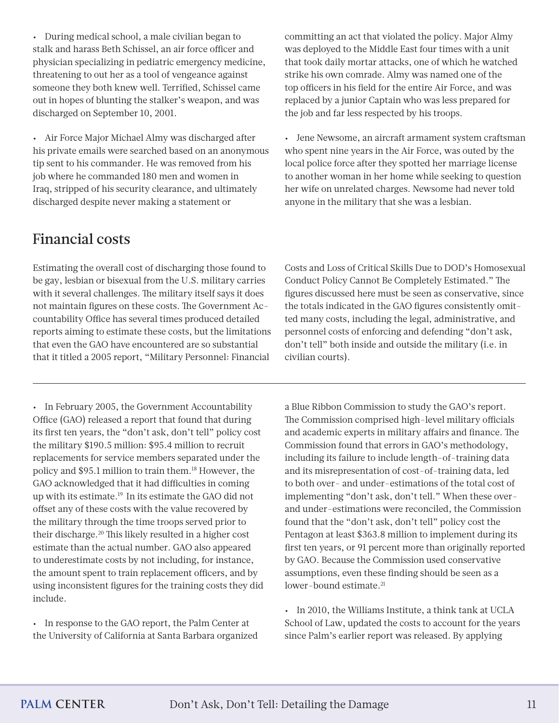• During medical school, a male civilian began to stalk and harass Beth Schissel, an air force officer and physician specializing in pediatric emergency medicine, threatening to out her as a tool of vengeance against someone they both knew well. Terrified, Schissel came out in hopes of blunting the stalker's weapon, and was discharged on September 10, 2001.

• Air Force Major Michael Almy was discharged after his private emails were searched based on an anonymous tip sent to his commander. He was removed from his job where he commanded 180 men and women in Iraq, stripped of his security clearance, and ultimately discharged despite never making a statement or

Financial costs

Estimating the overall cost of discharging those found to be gay, lesbian or bisexual from the U.S. military carries with it several challenges. The military itself says it does not maintain figures on these costs. The Government Accountability Office has several times produced detailed reports aiming to estimate these costs, but the limitations that even the GAO have encountered are so substantial that it titled a 2005 report, "Military Personnel: Financial

• In February 2005, the Government Accountability Office (GAO) released a report that found that during its first ten years, the "don't ask, don't tell" policy cost the military \$190.5 million: \$95.4 million to recruit replacements for service members separated under the policy and \$95.1 million to train them.18 However, the GAO acknowledged that it had difficulties in coming up with its estimate.19 In its estimate the GAO did not offset any of these costs with the value recovered by the military through the time troops served prior to their discharge.20 This likely resulted in a higher cost estimate than the actual number. GAO also appeared to underestimate costs by not including, for instance, the amount spent to train replacement officers, and by using inconsistent figures for the training costs they did include.

• In response to the GAO report, the Palm Center at the University of California at Santa Barbara organized committing an act that violated the policy. Major Almy was deployed to the Middle East four times with a unit that took daily mortar attacks, one of which he watched strike his own comrade. Almy was named one of the top officers in his field for the entire Air Force, and was replaced by a junior Captain who was less prepared for the job and far less respected by his troops.

• Jene Newsome, an aircraft armament system craftsman who spent nine years in the Air Force, was outed by the local police force after they spotted her marriage license to another woman in her home while seeking to question her wife on unrelated charges. Newsome had never told anyone in the military that she was a lesbian.

Costs and Loss of Critical Skills Due to DOD's Homosexual Conduct Policy Cannot Be Completely Estimated." The figures discussed here must be seen as conservative, since the totals indicated in the GAO figures consistently omitted many costs, including the legal, administrative, and personnel costs of enforcing and defending "don't ask, don't tell" both inside and outside the military (i.e. in civilian courts).

a Blue Ribbon Commission to study the GAO's report. The Commission comprised high-level military officials and academic experts in military affairs and finance. The Commission found that errors in GAO's methodology, including its failure to include length-of-training data and its misrepresentation of cost-of-training data, led to both over- and under-estimations of the total cost of implementing "don't ask, don't tell." When these overand under-estimations were reconciled, the Commission found that the "don't ask, don't tell" policy cost the Pentagon at least \$363.8 million to implement during its first ten years, or 91 percent more than originally reported by GAO. Because the Commission used conservative assumptions, even these finding should be seen as a lower-bound estimate.<sup>21</sup>

• In 2010, the Williams Institute, a think tank at UCLA School of Law, updated the costs to account for the years since Palm's earlier report was released. By applying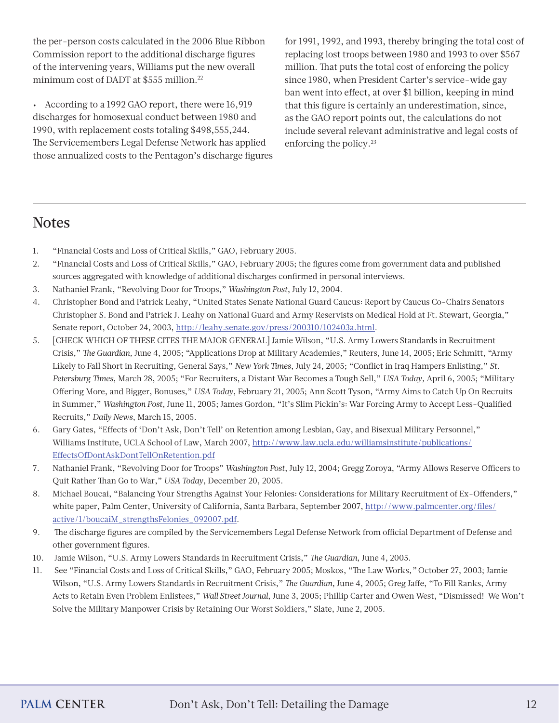the per-person costs calculated in the 2006 Blue Ribbon Commission report to the additional discharge figures of the intervening years, Williams put the new overall minimum cost of DADT at \$555 million.<sup>22</sup>

• According to a 1992 GAO report, there were 16,919 discharges for homosexual conduct between 1980 and 1990, with replacement costs totaling \$498,555,244. The Servicemembers Legal Defense Network has applied those annualized costs to the Pentagon's discharge figures for 1991, 1992, and 1993, thereby bringing the total cost of replacing lost troops between 1980 and 1993 to over \$567 million. That puts the total cost of enforcing the policy since 1980, when President Carter's service-wide gay ban went into effect, at over \$1 billion, keeping in mind that this figure is certainly an underestimation, since, as the GAO report points out, the calculations do not include several relevant administrative and legal costs of enforcing the policy.<sup>23</sup>

#### **Notes**

- 1. "Financial Costs and Loss of Critical Skills," GAO, February 2005.
- 2. "Financial Costs and Loss of Critical Skills," GAO, February 2005; the figures come from government data and published sources aggregated with knowledge of additional discharges confirmed in personal interviews.
- 3. Nathaniel Frank, "Revolving Door for Troops," *Washington Post*, July 12, 2004.
- 4. Christopher Bond and Patrick Leahy, "United States Senate National Guard Caucus: Report by Caucus Co-Chairs Senators Christopher S. Bond and Patrick J. Leahy on National Guard and Army Reservists on Medical Hold at Ft. Stewart, Georgia," Senate report, October 24, 2003, http://leahy.senate.gov/press/200310/102403a.html.
- 5. [CHECK WHICH OF THESE CITES THE MAJOR GENERAL] Jamie Wilson, "U.S. Army Lowers Standards in Recruitment Crisis," *The Guardian,* June 4, 2005; "Applications Drop at Military Academies," Reuters, June 14, 2005; Eric Schmitt, "Army Likely to Fall Short in Recruiting, General Says," *New York Times*, July 24, 2005; "Conflict in Iraq Hampers Enlisting," *St. Petersburg Times*, March 28, 2005; "For Recruiters, a Distant War Becomes a Tough Sell," *USA Today,* April 6, 2005; "Military Offering More, and Bigger, Bonuses," *USA Today*, February 21, 2005; Ann Scott Tyson, "Army Aims to Catch Up On Recruits in Summer," *Washington Post*, June 11, 2005; James Gordon, "It's Slim Pickin's: War Forcing Army to Accept Less-Qualified Recruits," *Daily News*, March 15, 2005.
- 6. Gary Gates, "Effects of 'Don't Ask, Don't Tell' on Retention among Lesbian, Gay, and Bisexual Military Personnel," Williams Institute, UCLA School of Law, March 2007, http://www.law.ucla.edu/williamsinstitute/publications/ EffectsOfDontAskDontTellOnRetention.pdf
- 7. Nathaniel Frank, "Revolving Door for Troops" *Washington Post*, July 12, 2004; Gregg Zoroya, "Army Allows Reserve Officers to Quit Rather Than Go to War," *USA Today*, December 20, 2005.
- 8. Michael Boucai, "Balancing Your Strengths Against Your Felonies: Considerations for Military Recruitment of Ex-Offenders," white paper, Palm Center, University of California, Santa Barbara, September 2007, http://www.palmcenter.org/files/ active/1/boucaiM\_strengthsFelonies\_092007.pdf.
- 9. The discharge figures are compiled by the Servicemembers Legal Defense Network from official Department of Defense and other government figures.
- 10. Jamie Wilson, "U.S. Army Lowers Standards in Recruitment Crisis," *The Guardian,* June 4, 2005.
- 11. See "Financial Costs and Loss of Critical Skills," GAO, February 2005; Moskos, "The Law Works*,"* October 27, 2003; Jamie Wilson, "U.S. Army Lowers Standards in Recruitment Crisis," *The Guardian,* June 4, 2005; Greg Jaffe, "To Fill Ranks, Army Acts to Retain Even Problem Enlistees," *Wall Street Journal*, June 3, 2005; Phillip Carter and Owen West, "Dismissed! We Won't Solve the Military Manpower Crisis by Retaining Our Worst Soldiers," Slate, June 2, 2005.